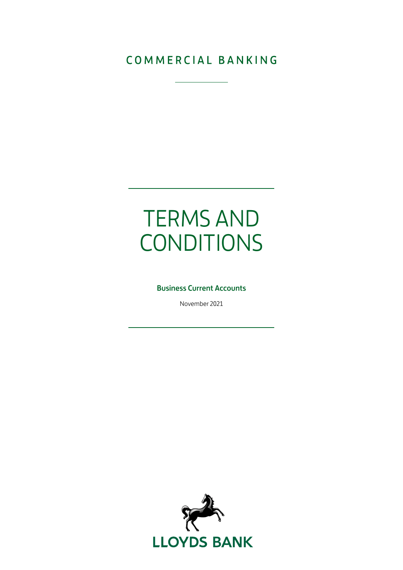# COMMERCIAL BANKING

# TERMS AND **CONDITIONS**

# Business Current Accounts

November 2021

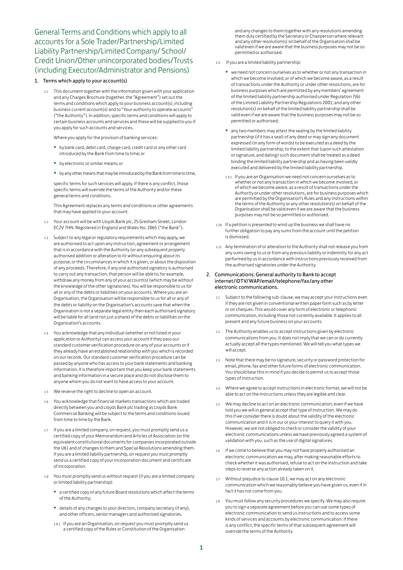General Terms and Conditions which apply to all accounts for a Sole Trader/Partnership/Limited Liability Partnership/Limited Company/ School/ Credit Union/Other unincorporated bodies/Trusts (including Executor/Administrator and Pensions)

# 1. Terms which apply to your account(s)

1.1 This document together with the information given with your application and any Charges Brochure (together, the "Agreement") set out the terms and conditions which apply to your business account(s), including business current account(s) and to "Your authority to operate accounts" ("the Authority"). In addition, specific terms and conditions will apply to certain business accounts and services and these will be supplied to you if you apply for such accounts and services.

Where you apply for the provision of banking services:

- by bank card, debit card, charge card, credit card or any other card introduced by the Bank from time to time; or
- by electronic or similar means; or
- by any other means that may be introduced by the Bank from time to time,

specific terms for such services will apply. If there is any conflict, those specific terms will override the terms of the Authority and/or these general terms and conditions.

This Agreement replaces any terms and conditions or other agreements that may have applied to your account.

- 1.2 Your account will be with Lloyds Bank plc, 25 Gresham Street, London EC2V 7HN. Registered in England and Wales No. 2065 ("the Bank").
- 1.3 Subject to any legal or regulatory requirements which may apply, we are authorised to act upon any instruction, agreement or arrangement that is in accordance with the Authority (or any subsequent properly authorised addition or alteration to it) without enquiring about its purpose, or the circumstances in which it is given, or about the disposition of any proceeds. Therefore, if any one authorised signatory is authorised to carry out any transaction, that person will be able to, for example, withdraw any money from any of your account(s) (which may be without the knowledge of the other signatories). You will be responsible to us for all or any of the debts or liabilities on your accounts. Where you are an Organisation, the Organisation will be responsible to us for all or any of the debts or liability on the Organisation's accounts save that when the Organisation is not a separate legal entity then each authorised signatory will be liable for all (and not just a share) of the debts or liabilities on the Organisation's accounts.
- 1.4 You acknowledge that any individual (whether or not listed in your application or Authority) can access your account if they pass our standard customer verification procedure on any of your accounts or if they already have an established relationship with you which is recorded on our records. Our standard customer verification procedure can be passed by anyone who has access to your bank statements and banking information. It is therefore important that you keep your bank statements and banking information in a secure place and do not disclose them to anyone whom you do not want to have access to your account.
- 1.5 We reserve the right to decline to open an account.
- 1.6 You acknowledge that financial markets transactions which are traded directly between you and Lloyds Bank plc trading as Lloyds Bank Commercial Banking will be subject to the terms and conditions issued from time to time by the Bank.
- 1.7 If you are a limited company, on request, you must promptly send us a certified copy of your Memorandum and Articles of Association (or the equivalent constitutional documents for companies incorporated outside the UK) and of changes to them and Special Resolutions amending them. If you are a limited liability partnership, on request you must promptly send us a certified copy of your incorporation document and certificate of incorporation.
- 1.8 You must promptly send us without request (if you are a limited company or limited liability partnership):
	- a certified copy of any future Board resolutions which affect the terms of the Authority;
	- details of any changes to your directors, company secretary (if any), and other officers, senior managers and authorised signatories.
	- 1.8.1 If you are an Organisation, on request you must promptly send us a certified copy of the Rules or Constitution of the Organisation

and any changes to them together with any resolutions amending them duly certified by the Secretary or Chairperson where relevant and any other resolution(s) on behalf of the Organisation shall be valid even if we are aware that the business purposes may not be so permitted or authorised.

- 1.9 If you are a limited liability partnership:
	- we need not concern ourselves as to whether or not any transaction in which we become involved, or of which we become aware, as a result of transactions under the Authority or under other resolutions, are for business purposes which are permitted by any members' agreement of the limited liability partnership authorised under Regulation 7(6) of the Limited Liability Partnership Regulations 2001; and any other resolution(s) on behalf of the limited liability partnership shall be valid even if we are aware that the business purposes may not be so permitted or authorised;
	- any two members may attest the sealing by the limited liability partnership (if it has a seal) of any deed or may sign any document expressed (in any form of words) to be executed as a deed by the limited liability partnership, to the extent that (upon such attestation or signature, and dating) such document shall be treated as a deed binding the limited liability partnership and as having been validly executed and delivered by the limited liability partnership.
	- 1.9.1 If you are an Organisation we need not concern ourselves as to whether or not any transaction in which we become involved, or of which we become aware, as a result of transactions under the Authority or under other resolutions, are for business purposes which are permitted by the Organisation's Rules and any instructions within the terms of the Authority or any other resolution(s) on behalf of the Organisation shall be valid even if we are aware that the business purposes may not be so permitted or authorised.
- 1.10 If a petition is presented to wind up the business we shall have no further obligation to pay any sums from the account until the petition is dismissed.
- 1.11 Any termination of or alteration to the Authority shall not release you from any sums owing to us or from any previous liability or indemnity for any act performed by us in accordance with instructions previously received from the authorised signatories under the Authority.

# 2. Communications: General authority to Bank to accept internet/iDTV/WAP/email/telephone/fax/any other electronic communications.

- 2.1 Subject to the following sub-clause, we may accept your instructions even if they are not given in conventional written paper form such as by letter or on cheques. This would cover any form of electronic or telephonic communication, including those not currently available. It applies to all present and any future business on your accounts.
- 2.2 The Authority enables us to accept instructions given by electronic communications from you. It does not imply that we can or do currently actually accept all the types mentioned. We will tell you what types we will accept.
- 2.3 Note that there may be no signature, security or password protection for email, phone, fax and other future forms of electronic communication. You should bear this in mind if you decide to permit us to accept those types of instruction.
- 2.4 Where we agree to accept instructions in electronic format, we will not be able to act on the instructions unless they are legible and clear.
- 2.5 We may decline to act on an electronic communication, even if we have told you we will in general accept that type of instruction. We may do this if we consider there is doubt about the validity of the electronic communication and it is in our or your interest to query it with you. However, we are not obliged to check or consider the validity of your electronic communications unless we have previously agreed a system of validation with you, such as the use of digital signatures.
- 2.6 If we come to believe that you may not have properly authorised an electronic communication we may, after making reasonable efforts to check whether it was authorised, refuse to act on the instruction and take steps to reverse any action already taken on it.
- Without prejudice to clause 10.1, we may act on any electronic communication which we reasonably believe you have given us, even if in fact it has not come from you.
- 2.8 You must follow any security procedures we specify. We may also require you to sign a separate agreement before you can use some types of electronic communication to send us instructions and to access some kinds of services and accounts by electronic communication. If there is any conflict, the specific terms of that subsequent agreement will override the terms of the Authority.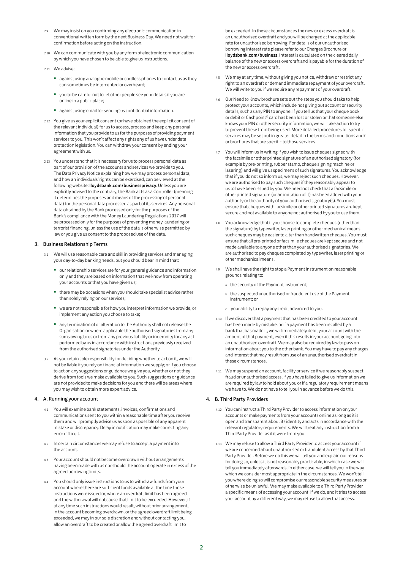- 2.9 We may insist on you confirming any electronic communication in conventional written form by the next Business Day. We need not wait for confirmation before acting on the instruction.
- 2.10 We can communicate with you by any form of electronic communication by which you have chosen to be able to give us instructions.
- 2.11 We advise:
	- against using analogue mobile or cordless phones to contact us as they can sometimes be intercepted or overheard;
	- you to be careful not to let other people see your details if you are online in a public place;
	- against using email for sending us confidential information.
- 2.12 You give us your explicit consent (or have obtained the explicit consent of the relevant individual) for us to access, process and keep any personal information that you provide to us for the purposes of providing payment services to you. This won't affect any rights any of us have under data protection legislation. You can withdraw your consent by ending your agreement with us.
- 2.13 You understand that it is necessary for us to process personal data as part of our provision of the accounts and services we provide to you. The Data Privacy Notice explaining how we may process personal data, and how an individuals' rights can be exercised, can be viewed at the following website: lloydsbank.com/businessprivacy. Unless you are explicitly advised to the contrary, the Bank acts as a Controller (meaning it determines the purposes and means of the processing of personal data) for the personal data processed as part of its services. Any personal data obtained by the Bank processed only for the purposes of the Bank's compliance with the Money Laundering Regulations 2017 will be processed only for the purposes of preventing money laundering or terrorist financing, unless the use of the data is otherwise permitted by law or you give us consent to the proposed use of the data.

# 3. Business Relationship Terms

- 3.1 We will use reasonable care and skill in providing services and managing your day-to-day banking needs, but you should bear in mind that:
	- our relationship services are for your general guidance and information only and they are based on information that we know from operating your accounts or that you have given us;
	- there may be occasions when you should take specialist advice rather than solely relying on our services;
	- we are not responsible for how you interpret information we provide, or implement any action you choose to take;
	- any termination of or alteration to the Authority shall not release the Organisation or where applicable the authorised signatories from any sums owing to us or from any previous liability or indemnity for any act performed by us in accordance with instructions previously received from the authorised signatories under the Authority.
- 3.2 As you retain sole responsibility for deciding whether to act on it, we will not be liable if you rely on financial information we supply; or if you choose to act on any suggestions or guidance we give you, whether or not they derive from tools we make available to you. Such suggestions or guidance are not provided to make decisions for you and there will be areas where you may wish to obtain more expert advice.

# 4. A. Running your account

- 4.1 You will examine bank statements, invoices, confirmations and communications sent to you within a reasonable time after you receive them and will promptly advise us as soon as possible of any apparent mistake or discrepancy. Delay in notification may make correcting any error difficult.
- 4.2 In certain circumstances we may refuse to accept a payment into the account.
- 4.3 Your account should not become overdrawn without arrangements having been made with us nor should the account operate in excess of the agreed borrowing limits.
- 4.4 You should only issue instructions to us to withdraw funds from your account where there are sufficient funds available at the time those instructions were issued or, where an overdraft limit has been agreed and the withdrawal will not cause that limit to be exceeded. However, if at any time such instructions would result, without prior arrangement, in the account becoming overdrawn, or the agreed overdraft limit being exceeded, we may in our sole discretion and without contacting you, allow an overdraft to be created or allow the agreed overdraft limit to

be exceeded. In these circumstances the new or excess overdraft is an unauthorised overdraft and you will be charged at the applicable rate for unauthorised borrowing. For details of our unauthorised borrowing interest rate please refer to our Charges Brochure or lloydsbank.com/business. Interest is calculated on the cleared daily balance of the new or excess overdraft and is payable for the duration of the new or excess overdraft.

- 4.5 We may at any time, without giving you notice, withdraw or restrict any right to an overdraft or demand immediate repayment of your overdraft. We will write to you if we require any repayment of your overdraft.
- 4.6 Our Need to Know brochure sets out the steps you should take to help protect your accounts, which include not giving out account or security details, such as any PIN to anyone. If you tell us that your cheque book or debit or Cashpoint® card has been lost or stolen or that someone else knows your PIN or other security information, we will take action to try to prevent these from being used. More detailed procedures for specific services may be set out in greater detail in the terms and conditions and/ or brochures that are specific to those services.
- 4.7 You will inform us in writing if you wish to issue cheques signed with the facsimile or other printed signature of an authorised signatory (for example by pre-printing, rubber stamp, cheque signing machine or lasering) and will give us specimens of such signatures. You acknowledge that if you do not so inform us, we may reject such cheques. However, we are authorised to pay such cheques if they reasonably appear to us to have been issued by you. We need not check that a facsimile or other printed signature (or an imitation of it) has been added with your authority or the authority of your authorised signatory(s). You must ensure that cheques with facsimile or other printed signatures are kept secure and not available to anyone not authorised by you to use them.
- 4.8 You acknowledge that if you choose to complete cheques (other than the signature) by typewriter, laser printing or other mechanical means, such cheques may be easier to alter than handwritten cheques. You must ensure that all pre-printed or facsimile cheques are kept secure and not made available to anyone other than your authorised signatories. We are authorised to pay cheques completed by typewriter, laser printing or other mechanical means.
- 4.9 We shall have the right to stop a Payment instrument on reasonable grounds relating to:
	- a. the security of the Payment instrument;
	- b. the suspected unauthorised or fraudulent use of the Payment instrument; or
	- c. your ability to repay any credit advanced to you.
- 4.10 If we discover that a payment that has been credited to your account has been made by mistake, or if a payment has been recalled by a bank that has made it, we will immediately debit your account with the amount of that payment, even if this results in your account going into an unauthorised overdraft. We may also be required by law to pass on information about you to the other bank. You may have to pay any charges and interest that may result from use of an unauthorised overdraft in these circumstances.
- 4.11 We may suspend an account, facility or service if we reasonably suspect fraud or unauthorised access, if you have failed to give us information we are required by law to hold about you or if a regulatory requirement means we have to. We do not have to tell you in advance before we do this.

# 4. B. Third Party Providers

- 4.12 You can instruct a Third Party Provider to access information on your accounts or make payments from your accounts online as long as it is open and transparent about its identity and acts in accordance with the relevant regulatory requirements. We will treat any instruction from a Third Party Provider as if it were from you.
- 4.13 We may refuse to allow a Third Party Provider to access your account if we are concerned about unauthorised or fraudulent access by that Third Party Provider. Before we do this we will tell you and explain our reasons for doing so, unless it is not reasonably practicable, in which case we will tell you immediately afterwards. In either case, we will tell you in the way which we consider most appropriate in the circumstances. We won't tell you where doing so will compromise our reasonable security measures or otherwise be unlawful. We may make available to a Third Party Provider a specific means of accessing your account. If we do, and it tries to access your account by a different way, we may refuse to allow that access.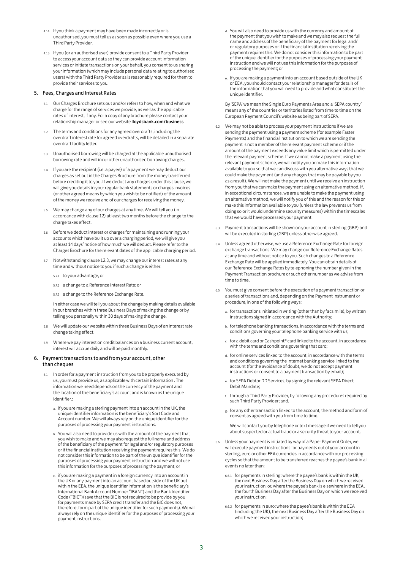- 4.14 If you think a payment may have been made incorrectly or is unauthorised, you must tell us as soon as possible even where you use a Third Party Provider.
- 4.15 If you (or an authorised user) provide consent to a Third Party Provider to access your account data so they can provide account information services or initiate transactions on your behalf, you consent to us sharing your information (which may include personal data relating to authorised users) with the Third Party Provider as is reasonably required for them to provide their services to you.

# 5. Fees, Charges and Interest Rates

- 5.1 Our Charges Brochure sets out and/or refers to how, when and what we charge for the range of services we provide, as well as the applicable rates of interest, if any. For a copy of any brochure please contact your relationship manager or see our website lloydsbank.com/business
- 5.2 The terms and conditions for any agreed overdrafts, including the overdraft interest rate for agreed overdrafts, will be detailed in a separate overdraft facility letter.
- 5.3 Unauthorised borrowing will be charged at the applicable unauthorised borrowing rate and will incur other unauthorised borrowing charges.
- 5.4 If you are the recipient (i.e. a payee) of a payment we may deduct our charges as set out in the Charges Brochure from the money transferred before crediting it to you. If we deduct any charges under this clause, we will give you details in your regular bank statements or charges invoices (or other agreed means by which you wish to be notified) of the amount of the money we receive and of our charges for receiving the money.
- 5.5 We may change any of our charges at any time. We will tell you (in accordance with clause 12) at least two months before the change to the charge takes effect.
- 5.6 Before we deduct interest or charges for maintaining and running your accounts which have built up over a charging period, we will give you at least 14 days' notice of how much we will deduct. Please refer to the Charges Brochure for the relevant dates of the applicable charging period.
- 5.7 Notwithstanding clause 12.3, we may change our interest rates at any time and without notice to you if such a change is either:
	- 5.7.1 to your advantage, or
	- 5.7.2 a change to a Reference Interest Rate; or
	- 5.7.3 a change to the Reference Exchange Rate.

In either case we will tell you about the change by making details available in our branches within three Business Days of making the change or by telling you personally within 30 days of making the change.

- 5.8 We will update our website within three Business Days of an interest rate change taking effect.
- 5.9 Where we pay interest on credit balances on a business current account, interest will accrue daily and will be paid monthly.

# 6. Payment transactions to and from your account, other than cheques

- 6.1 In order for a payment instruction from you to be properly executed by us, you must provide us, as applicable with certain information . The information we need depends on the currency of the payment and the location of the beneficiary's account and is known as the unique identifier.:
	- a. if you are making a sterling payment into an account in the UK, the unique identifier information is the beneficiary's Sort Code and Account number. We will always rely on the unique identifier for the purposes of processing your payment instructions.
	- b. You will also need to provide us with the amount of the payment that you wish to make and we may also request the full name and address of the beneficiary of the payment for legal and/or regulatory purposes or if the financial institution receiving the payment requires this. We do not consider this information to be part of the unique identifier for the purposes of processing your payment instruction and we will not use this information for the purposes of processing the payment; or
	- c. if you are making a payment in a foreign currency into an account in the UK or any payment into an account based outside of the UK but within the EEA, the unique identifier information is the beneficiary's International Bank Account Number "IBAN") and the Bank Identifier Code ("BIC")(save that the BIC is not required to be provide by you for payments made by SEPA credit transfer and the BIC does not, therefore, form part of the unique identifier for such payments). We will always rely on the unique identifier for the purposes of processing your payment instructions.
- d. You will also need to provide us with the currency and amount of the payment that you wish to make and we may also request the full name and address of the beneficiary of the payment for legal and/ or regulatory purposes or if the financial institution receiving the payment requires this. We do not consider this information to be part of the unique identifier for the purposes of processing your payment instruction and we will not use this information for the purposes of processing the payment; or
- e. If you are making a payment into an account based outside of the UK or EEA, you should contact your relationship manager for details of the information that you will need to provide and what constitutes the unique identifier.

By 'SEPA' we mean the Single Euro Payments Area and a 'SEPA country' means any of the countries or territories listed from time to time on the European Payment Council's website as being part of SEPA.

- 6.2 We may not be able to process your payment instructions if we are sending the payment using a payment scheme (for example Faster Payments) and the financial institution to which we are sending the payment is not a member of the relevant payment scheme or if the amount of the payment exceeds any value limit which is permitted under the relevant payment scheme. If we cannot make a payment using the relevant payment scheme, we will notify you or make this information available to you so that we can discuss with you alternative ways that we could make the payment (and any charges that may be payable by you as a result). We will not make the payment until we receive an instruction from you that we can make the payment using an alternative method. If, in exceptional circumstances, we are unable to make the payment using an alternative method, we will notify you of this and the reason for this or make this information available to you (unless the law prevents us from doing so or it would undermine security measures) within the timescales that we would have processed your payment.
- 6.3 Payment transactions will be shown on your account in sterling (GBP) and will be executed in sterling (GBP) unless otherwise agreed.
- 6.4 Unless agreed otherwise, we use a Reference Exchange Rate for foreign exchange transactions. We may change our Reference Exchange Rates at any time and without notice to you. Such changes to a Reference Exchange Rate will be applied immediately. You can obtain details of our Reference Exchange Rates by telephoning the number given in the Payment Transaction brochure or such other number as we advise from time to time.
- 6.5 You must give consent before the execution of a payment transaction or a series of transactions and, depending on the Payment instrument or procedure, in one of the following ways:
	- a. for transactions initiated in writing (other than by facsimile), by written instructions signed in accordance with the Authority;
	- b. for telephone banking transactions, in accordance with the terms and conditions governing your telephone banking service with us;
	- c. for a debit card or Cashpoint® card linked to the account, in accordance with the terms and conditions governing that card;
	- d. for online services linked to the account, in accordance with the terms and conditions governing the internet banking service linked to the account (for the avoidance of doubt, we do not accept payment instructions or consent to a payment transaction by email);
	- e. for SEPA Debtor DD Services, by signing the relevant SEPA Direct Debit Mandate;
	- f. through a Third Party Provider, by following any procedures required by such Third Party Provider; and.
	- g. for any other transaction linked to the account, the method and form of consent as agreed with you from time to time.

We will contact you by telephone or text message if we need to tell you about suspected or actual fraud or a security threat to your account.

- 6.6 Unless your payment is initiated by way of a Paper Payment Order, we will execute payment instructions for payments out of your account in sterling, euro or other EEA currencies in accordance with our processing cycles so that the amount to be transferred reaches the payee's bank in all events no later than:
	- 6.6.1 for payments in sterling: where the payee's bank is within the UK, the next Business Day after the Business Day on which we received your instruction; or, where the payee's bank is elsewhere in the EEA, the fourth Business Day after the Business Day on which we received your instruction;
	- 6.6.2 for payments in euro: where the payee's bank is within the EEA (including the UK), the next Business Day after the Business Day on which we received your instruction;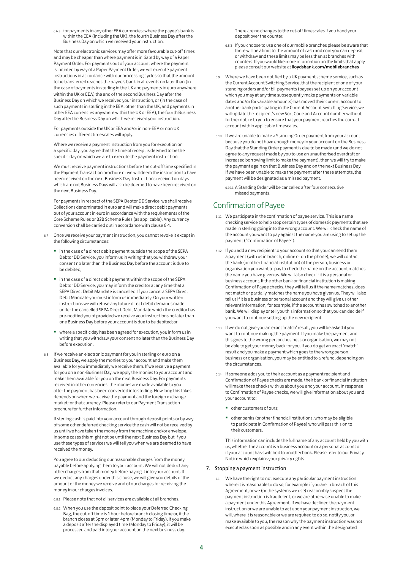6.6.3 for payments in any other EEA currencies: where the payee's bank is within the EEA (including the UK), the fourth Business Day after the Business Day on which we received your instruction.

Note that our electronic services may offer more favourable cut-off times and may be cheaper than where payment is initiated by way of a Paper Payment Order. For payments out of your account where the payment is initiated by way of a Paper Payment Order, we will execute payment instructions in accordance with our processing cycles so that the amount to be transferred reaches the payee's bank in all events no later than (in the case of payments in sterling in the UK and payments in euro anywhere within the UK or EEA) the end of the second Business Day after the Business Day on which we received your instruction, or (in the case of such payments in sterling in the EEA, other than the UK, and payments in other EEA currencies anywhere within the UK or EEA), the fourth Business Day after the Business Day on which we received your instruction.

For payments outside the UK or EEA and/or in non-EEA or non UK currencies different timescales will apply.

Where we receive a payment instruction from you for execution on a specific day, you agree that the time of receipt is deemed to be the specific day on which we are to execute the payment instruction.

We must receive payment instructions before the cut-off time specified in the Payment Transaction brochure or we will deem the instruction to have been received on the next Business Day. Instructions received on days which are not Business Days will also be deemed to have been received on the next Business Day.

For payments in respect of the SEPA Debtor DD Service, we shall receive Collections denominated in euro and will make direct debit payments out of your account in euro in accordance with the requirements of the Core Scheme Rules or B2B Scheme Rules (as applicable). Any currency conversion shall be carried out in accordance with clause 6.4.

- 6.7 Once we receive your payment instruction, you cannot revoke it except in the following circumstances:
	- in the case of a direct debit payment outside the scope of the SEPA Debtor DD Service, you inform us in writing that you withdraw your consent no later than the Business Day before the account is due to be debited,
	- in the case of a direct debit payment within the scope of the SEPA Debtor DD Service, you may inform the creditor at any time that a SEPA Direct Debit Mandate is cancelled. If you cancel a SEPA Direct Debit Mandate you must inform us immediately. On your written instructions we will refuse any future direct debit demands made under the cancelled SEPA Direct Debit Mandate which the creditor has pre-notified you of provided we receive your instructions no later than one Business Day before your account is due to be debited; or
	- where a specific day has been agreed for execution, you inform us in writing that you withdraw your consent no later than the Business Day before execution.
- 6.8 If we receive an electronic payment for you in sterling or euro on a Business Day, we apply the monies to your account and make them available for you immediately we receive them. If we receive a payment for you on a non-Business Day, we apply the monies to your account and make them available for you on the next Business Day. For payments received in other currencies, the monies are made available to you after the payment has been converted into sterling. How long this takes depends on when we receive the payment and the foreign exchange market for that currency. Please refer to our Payment Transaction brochure for further information.

If sterling cash is paid into your account through deposit points or by way of some other deferred checking service the cash will not be received by us until we have taken the money from the machine and/or envelope. In some cases this might not be until the next Business Day but if you use these types of services we will tell you when we are deemed to have received the money.

You agree to our deducting our reasonable charges from the money payable before applying them to your account. We will not deduct any other charges from that money before paying it into your account. If we deduct any charges under this clause, we will give you details of the amount of the money we receive and of our charges for receiving the money in our charges invoices.

- 6.8.1 Please note that not all services are available at all branches.
- 6.8.2 When you use the deposit point to place your Deferred Checking Bag, the cut-off time is 1 hour before branch closing time or, if the branch closes at 5pm or later, 4pm (Monday to Friday). If you make a deposit after the displayed time (Monday to Friday), it will be processed and paid into your account on the next business day.

There are no changes to the cut-off timescales if you hand your deposit over the counter.

- 6.8.3 If you choose to use one of our mobile branches please be aware that there will be a limit to the amount of cash and coin you can deposit or withdraw and these limits may be less than at branches with counters. If you would like more information on the limits that apply please consult our website at lloydsbank.com/mobilebranches
- 6.9 Where we have been notified by a UK payment scheme service, such as the Current Account Switching Service, that the recipient of one of your standing orders and/or bill payments (payees set up on your account which you may at any time subsequently make payments on variable dates and/or for variable amounts) has moved their current account to another bank participating in the Current Account Switching Service, we will update the recipient's new Sort Code and Account number without further notice to you to ensure that your payment reaches the correct account within applicable timescales.
- 6.10 If we are unable to make a Standing Order payment from your account because you do not have enough money in your account on the Business Day that the Standing Order payment is due to be made (and we do not agree to any request made by you to use an unauthorised overdraft or increased borrowing limit to make the payment), then we will try to make the payment again on that Business Day and on the next Business Day. If we have been unable to make the payment after these attempts, the payment will be designated as a missed payment.
	- 6.10.1 A Standing Order will be cancelled after four consecutive missed payments.

# Confirmation of Payee

- 6.11 We participate in the confirmation of payee service. This is a name checking service to help stop certain types of domestic payments that are made in sterling going into the wrong account. We will check the name of the account you want to pay against the name you are using to set up the payment ("Confirmation of Payee").
- 6.12 If you add a new recipient to your account so that you can send them a payment (with us in branch, online or on the phone), we will contact the bank (or other financial institution) of the person, business or organisation you want to pay to check the name on the account matches the name you have given us. We will also check if it is a personal or business account. If the other bank or financial institution is making Confirmation of Payee checks, they will tell us if the name matches, does not match or partially matches the name you have given us. They will also tell us if it is a business or personal account and they will give us other relevant information, for example, if the account has switched to another bank. We will display or tell you this information so that you can decide if you want to continue setting up the new recipient.
- 6.13 If we do not give you an exact 'match' result, you will be asked if you want to continue making the payment. If you make the payment and this goes to the wrong person, business or organisation, we may not be able to get your money back for you. If you do get an exact 'match' result and you make a payment which goes to the wrong person, business or organisation, you may be entitled to a refund, depending on the circumstances.
- 6.14 If someone adds you to their account as a payment recipient and Confirmation of Payee checks are made, their bank or financial institution will make these checks with us about you and your account. In response to Confirmation of Payee checks, we will give information about you and your account to:
	- other customers of ours;
	- other banks (or other financial institutions, who may be eligible to participate in Confirmation of Payee) who will pass this on to their customers.

This information can include the full name of any account held by you with us, whether the account is a business account or a personal account or if your account has switched to another bank. Please refer to our Privacy Notice which explains your privacy rights.

# 7. Stopping a payment instruction

7.1 We have the right to not execute any particular payment instruction where it is reasonable to do so, for example if you are in breach of this Agreement, or we (or the systems we use) reasonably suspect the payment instruction is fraudulent, or we are otherwise unable to make a payment under this Agreement. If we have declined the payment instruction or we are unable to act upon your payment instruction, we will, where it is reasonable or we are required to do so, notify you, or make available to you, the reason why the payment instruction was not executed as soon as possible and in any event within the designated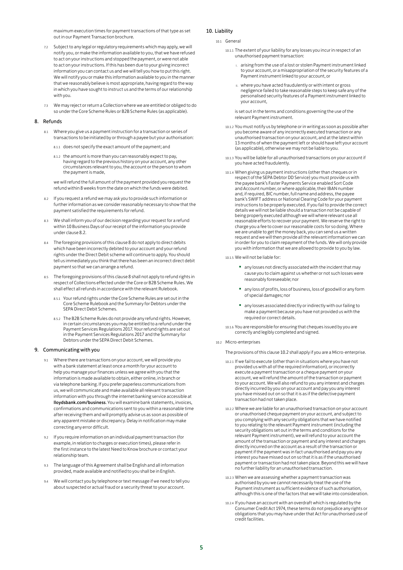maximum execution times for payment transactions of that type as set out in our Payment Transaction brochure.

- 7.2 Subject to any legal or regulatory requirements which may apply, we will notify you, or make the information available to you, that we have refused to act on your instructions and stopped the payment, or were not able to act on your instructions. If this has been due to your giving incorrect information you can contact us and we will tell you how to put this right. We will notify you or make this information available to you in the manner that we reasonably believe is most appropriate, having regard to the way in which you have sought to instruct us and the terms of our relationship with you.
- 7.3 We may reject or return a Collection where we are entitled or obliged to do so under the Core Scheme Rules or B2B Scheme Rules (as applicable).

# 8. Refunds

- 8.1 Where you give us a payment instruction for a transaction or series of transactions to be initiated by or through a payee but your authorisation:
	- 8.1.1 does not specify the exact amount of the payment; and
	- 8.1.2 the amount is more than you can reasonably expect to pay, having regard to the previous history on your account, any other circumstances relevant to you, the account or the person to whom the payment is made,

we will refund the full amount of the payment provided you request the refund within 8 weeks from the date on which the funds were debited.

- 8.2 If you request a refund we may ask you to provide such information or further information as we consider reasonably necessary to show that the payment satisfied the requirements for refund.
- We shall inform you of our decision regarding your request for a refund within 10 Business Days of our receipt of the information you provide under clause 8.2.
- 8.4 The foregoing provisions of this clause 8 do not apply to direct debits which have been incorrectly debited to your account and your refund rights under the Direct Debit scheme will continue to apply. You should tell us immediately you think that there has been an incorrect direct debit payment so that we can arrange a refund.
- 8.5 The foregoing provisions of this clause 8 shall not apply to refund rights in respect of Collections effected under the Core or B2B Scheme Rules. We shall effect all refunds in accordance with the relevant Rulebook.
	- 8.5.1 Your refund rights under the Core Scheme Rules are set out in the Core Scheme Rulebook and the Summary for Debtors under the SEPA Direct Debit Schemes.
	- 8.5.2 The B2B Scheme Rules do not provide any refund rights. However, in certain circumstances you may be entitled to a refund under the Payment Services Regulations 2017. Your refund rights are set out in the Payment Services Regulations 2017 and the Summary for Debtors under the SEPA Direct Debit Schemes.

## 9. Communicating with you

- 9.1 Where there are transactions on your account, we will provide you with a bank statement at least once a month for your account to help you manage your finances unless we agree with you that the information is made available to obtain, either online, in branch or via telephone banking. If you prefer paperless communications from us, we will communicate and make available all relevant transaction information with you through the internet banking service accessible at lloydsbank.com/business. You will examine bank statements, invoices, confirmations and communications sent to you within a reasonable time after receiving them and will promptly advise us as soon as possible of any apparent mistake or discrepancy. Delay in notification may make correcting any error difficult.
- 9.2 If you require information on an individual payment transaction (for example, in relation to charges or execution times), please refer in the first instance to the latest Need to Know brochure or contact your relationship team.
- 9.3 The language of this Agreement shall be English and all information provided, made available and notified to you shall be in English.
- 9.4 We will contact you by telephone or text message if we need to tell you about suspected or actual fraud or a security threat to your account.

# 10. Liability

- 10.1 General
	- 10.1.1 The extent of your liability for any losses you incur in respect of an unauthorised payment transaction:
		- arising from the use of a lost or stolen Payment instrument linked to your account, or a misappropriation of the security features of a Payment instrument linked to your account, or
		- ii. where you have acted fraudulently or with intent or gross negligence failed to take reasonable steps to keep safe any of the personalised security features of a Payment instrument linked to your account,

is set out in the terms and conditions governing the use of the relevant Payment instrument.

- 10.1.2 You must notify us by telephone or in writing as soon as possible after you become aware of any incorrectly executed transaction or any unauthorised transaction on your account, and at the latest within 13 months of when the payment left or should have left your account (as applicable), otherwise we may not be liable to you.
- 10.1.3 You will be liable for all unauthorised transactions on your account if you have acted fraudulently.
- 10.1.4 When giving us payment instructions (other than cheques or in respect of the SEPA Debtor DD Service) you must provide us with the payee bank's Faster Payments Service enabled Sort Code and Account number, or where applicable, their IBAN number and, if required, BIC number, full name and address, the payee bank's SWIFT address or National Clearing Code for your payment instructions to be properly executed. If you fail to provide the correct details we will not be liable should a transaction not be capable of being properly executed although we will where relevant use all reasonable efforts to recover your payment. We reserve the right to charge you a fee to cover our reasonable costs for so doing. Where we are unable to get the money back, you can send us a written request and we will then provide all the relevant information we can in order for you to claim repayment of the funds. We will only provide you with information that we are allowed to provide to you by law.
- 10.1.5 We will not be liable for:
	- any losses not directly associated with the incident that may cause you to claim against us whether or not such losses were reasonably foreseeable; nor
	- any loss of profits, loss of business, loss of goodwill or any form of special damages; nor
	- any losses associated directly or indirectly with our failing to make a payment because you have not provided us with the required or correct details.
- 10.1.6 You are responsible for ensuring that cheques issued by you are correctly and legibly completed and signed.
- 10.2 Micro-enterprises

The provisions of this clause 10.2 shall apply if you are a Micro-enterprise.

- 10.2.1 If we fail to execute (other than in situations where you have not provided us with all of the required information), or incorrectly execute a payment transaction or a cheque payment on your account, we will refund the amount of the transaction or payment to your account. We will also refund to you any interest and charges directly incurred by you on your account and pay you any interest you have missed out on so that it is as if the defective payment transaction had not taken place.
- 10.2.2 Where we are liable for an unauthorised transaction on your account or unauthorised cheque payment on your account, and subject to you complying with any security obligations that we have notified to you relating to the relevant Payment instrument (including the security obligations set out in the terms and conditions for the relevant Payment instrument), we will refund to your account the amount of the transaction or payment and any interest and charges directly incurred on the account as a result of the transaction or payment if the payment was in fact unauthorised and pay you any interest you have missed out on so that it is as if the unauthorised payment or transaction had not taken place. Beyond this we will have no further liability for an unauthorised transaction.
- 10.2.3 When we are assessing whether a payment transaction was authorised by you we cannot necessarily treat the use of the Payment instrument as sufficient evidence of such authorisation, although this is one of the factors that we will take into consideration.
- 10.2.4 If you have an account with an overdraft which is regulated by the Consumer Credit Act 1974, these terms do not prejudice any rights or obligations that you may have under that Act for unauthorised use of credit facilities.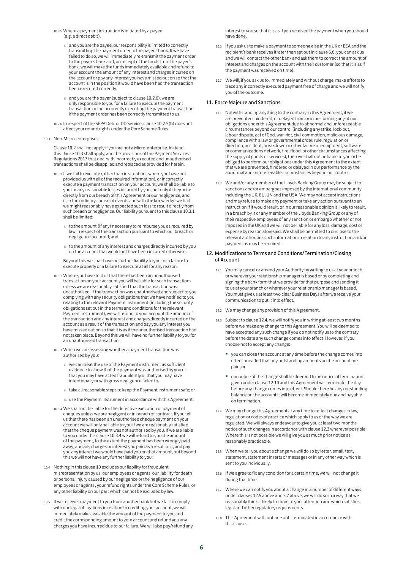- 10.2.5 Where a payment instruction is initiated by a payee (e.g. a direct debit),
	- and you are the payee, our responsibility is limited to correctly transmitting the payment order to the payer's bank. If we have failed to do so, we will immediately re-transmit the payment order to the payer's bank and, on receipt of the funds from the payer's bank, we will make the funds immediately available and refund to your account the amount of any interest and charges incurred on the account or pay any interest you have missed out on so that the account is in the position it would have been had the transaction been executed correctly;
	- and you are the payer (subject to clause 10.2.6), we are only responsible to you for a failure to execute the payment transaction or for incorrectly executing the payment transaction if the payment order has been correctly transmitted to us.
- 10.2.6 In respect of the SEPA Debtor DD Service, clause 10.2.5(b) does not affect your refund rights under the Core Scheme Rules.
- 10.3 Non-Micro-enterprises

Clause 10.2 shall not apply if you are not a Micro-enterprise. Instead this clause 10.3 shall apply, and the provisions of the Payment Services Regulations 2017 that deal with incorrectly executed and unauthorised transactions shall be disapplied and replaced as provided for herein.

- 10.3.1 If we fail to execute (other than in situations where you have not provided us with all of the required information), or incorrectly execute a payment transaction on your account, we shall be liable to you for any reasonable losses incurred by you, but only if they arise directly from our breach of this Agreement or our negligence, and if, in the ordinary course of events and with the knowledge we had, we might reasonably have expected such loss to result directly from such breach or negligence. Our liability pursuant to this clause 10.3.1 shall be limited:
	- to the amount (if any) necessary to reimburse you as required by law in respect of the transaction pursuant to which our breach or negligence occurred; and
	- ii. to the amount of any interest and charges directly incurred by you on the account that would not have been incurred otherwise.

Beyond this we shall have no further liability to you for a failure to execute properly or a failure to execute at all for any reason.

- 10.3.2 Where you have told us that there has been an unauthorised transaction on your account you will be liable for such transactions unless we are reasonably satisfied that the transaction was unauthorised. If the transaction was unauthorised and subject to you complying with any security obligations that we have notified to you relating to the relevant Payment instrument (including the security obligations set out in the terms and conditions for the relevant Payment instrument), we will refund to your account the amount of the transaction and any interest and charges directly incurred on the account as a result of the transaction and pay you any interest you have missed out on so that it is as if the unauthorised transaction had not taken place. Beyond this we will have no further liability to you for an unauthorised transaction.
- 10.3.3 When we are assessing whether a payment transaction was authorised by you:
	- we can treat the use of the Payment instrument as sufficient evidence to show that the payment was authorised by you or that you may have acted fraudulently or that you may have intentionally or with gross negligence failed to.
	- ii. take all reasonable steps to keep the Payment instrument safe; or
	- iii. use the Payment instrument in accordance with this Agreement.
- 10.3.4 We shall not be liable for the defective execution or payment of cheques unless we are negligent or in breach of contract. If you tell us that there has been an unauthorised cheque payment on your account we will only be liable to you if we are reasonably satisfied that the cheque payment was not authorised by you. If we are liable to you under this clause 10.3.4 we will refund to you the amount of the payment, to the extent the payment has been wrongly paid away, and any charges or interest you paid as a result of it, and pay you any interest we would have paid you on that amount, but beyond this we will not have any further liability to you:
- 10.4 Nothing in this clause 10 excludes our liability for fraudulent misrepresentation by us, our employees or agents, our liability for death or personal injury caused by our negligence or the negligence of our employees or agents , your refund rights under the Core Scheme Rules, or any other liability on our part which cannot be excluded by law.
- 10.5 If we receive a payment to you from another bank but we fail to comply with our legal obligations in relation to crediting your account, we will immediately make available the amount of the payment to you and credit the corresponding amount to your account and refund you any charges you have incurred due to our failure. We will also pay/refund any

interest to you so that it is as if you received the payment when you should have done.

- 10.6 If you ask us to make a payment to someone else in the UK or EEA and the recipient's bank receives it later than set out in clause 6.6, you can ask us and we will contact the other bank and ask them to correct the amount of interest and charges on the account with their customer (so that it is as if the payment was received on time).
- 10.7 We will, if you ask us to, immediately and without charge, make efforts to trace any incorrectly executed payment free of charge and we will notify you of the outcome.

# 11. Force Majeure and Sanctions

- 11.1 Notwithstanding anything to the contrary in this Agreement, if we are prevented, hindered, or delayed from or in performing any of our obligations under this Agreement due to abnormal and unforeseeable circumstances beyond our control (including any strike, lock-out, labour dispute, act of God, war, riot, civil commotion, malicious damage, compliance with a law or governmental order, rule, regulation or direction, accident, breakdown or other failure of equipment, software or communications network, fire, flood, or other circumstances affecting the supply of goods or services), then we shall not be liable to you or be obliged to perform our obligations under this Agreement to the extent that we are prevented, hindered or delayed in our performance by the abnormal and unforeseeable circumstances beyond our control.
- 11.2 We and/or any member of the Lloyds Banking Group may be subject to sanctions and/or embargoes imposed by the international community including the UK, EU, UN and the USA. We may not accept instructions and may refuse to make any payment or take any action pursuant to an instruction if it would result, or in our reasonable opinion is likely to result, in a breach by it or any member of the Lloyds Banking Group or any of their respective employees of any sanction or embargo whether or not imposed in the UK and we will not be liable for any loss, damage, cost or expense by reason aforesaid. We shall be permitted to disclose to the relevant authorities such information in relation to any instruction and/or payment as may be required.

# 12. Modifications to Terms and Conditions/Termination/Closing of Account

- 12.1 You may cancel or amend your Authority by writing to us at your branch or wherever your relationship manager is based or by completing and signing the bank form that we provide for that purpose and sending it to us at your branch or wherever your relationship manager is based. You must give us at least two clear Business Days after we receive your communication to put it into effect.
- 12.2 We may change any provision of this Agreement.
- 12.3 Subject to clause 12.4, we will notify you in writing at least two months before we make any change to this Agreement. You will be deemed to have accepted any such change if you do not notify us to the contrary before the date any such change comes into effect. However, if you choose not to accept any change:
	- you can close the account at any time before the change comes into effect provided that any outstanding amounts on the account are paid; or
	- our notice of the change shall be deemed to be notice of termination given under clause 12.10 and this Agreement will terminate the day before any change comes into effect. Should there be any outstanding balance on the account it will become immediately due and payable on termination.
- 12.4 We may change this Agreement at any time to reflect changes in law, regulation or codes of practice which apply to us or the way we are regulated. We will always endeavour to give you at least two months notice of such changes in accordance with clause 12.3 wherever possible. Where this is not possible we will give you as much prior notice as reasonably practicable.
- 12.5 When we tell you about a change we will do so by letter, email, text, statement, statement inserts or messages or in any other way which is sent to you individually.
- 12.6 If we agree to fix any condition for a certain time, we will not change it during that time.
- 12.7 Where we can notify you about a change in a number of different ways under clauses 12.5 above and 5.7 above, we will do so in a way that we reasonably think is likely to come to your attention and which satisfies legal and other regulatory requirements.
- 12.8 This Agreement will continue until terminated in accordance with this clause.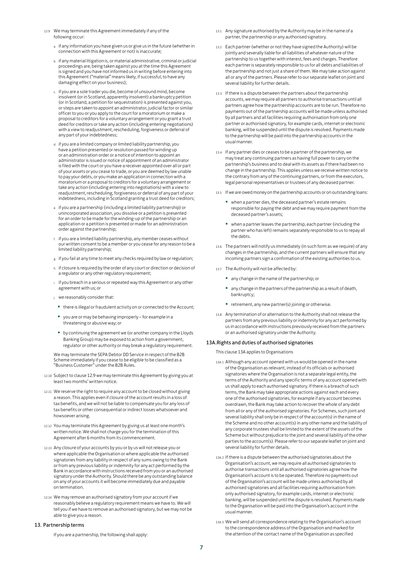- 12.9 We may terminate this Agreement immediately if any of the following occur:
	- a. if any information you have given us or give us in the future (whether in connection with this Agreement or not) is inaccurate;
	- b. if any material litigation is, or material administrative, criminal or judicial proceedings are, being taken against you at the time this Agreement is signed and you have not informed us in writing before entering into this Agreement ("material" means likely, if successful, to have any damaging effect on your business);
	- c. if you are a sole trader you die, become of unsound mind, become insolvent (or in Scotland, apparently insolvent) a bankruptcy petition (or in Scotland, a petition for sequestration) is presented against you, or steps are taken to appoint an administrator, judicial factor or similar officer to you or you apply to the court for a moratorium or make a proposal to creditors for a voluntary arrangement or you grant a trust deed for creditors or take any action (including entering negotiations) with a view to readjustment, rescheduling, forgiveness or deferral of any part of your indebtedness;
	- d. if you are a limited company or limited liability partnership, you have a petition presented or resolution passed for winding up or an administration order or a notice of intention to appoint an administrator is issued or notice of appointment of an administrator is filed with the court or you have a receiver appointed over all or part of your assets or you cease to trade, or you are deemed by law unable to pay your debts, or you make an application in connection with a moratorium or a proposal to creditors for a voluntary arrangement or take any action (including entering into negotiations) with a view to readjustment, rescheduling, forgiveness or deferral of any part of your indebtedness, including in Scotland granting a trust deed for creditors;
	- e. if you are a partnership (including a limited liability partnership) or unincorporated association, you dissolve or a petition is presented for an order to be made for the winding-up of the partnership or an application or a petition is presented or made for an administration order against the partnership;
	- f. if you are a limited liability partnership, any member ceases without our written consent to be a member or you cease for any reason to be a limited liability partnership;
	- g. if you fail at any time to meet any checks required by law or regulation;
	- h. if closure is required by the order of any court or direction or decision of a regulator or any other regulatory requirement;
	- i. if you breach in a serious or repeated way this Agreement or any other agreement with us; or
	- j. we reasonably consider that:
	- there is illegal or fraudulent activity on or connected to the Account;
	- you are or may be behaving improperly for example in a threatening or abusive way; or
	- by continuing the agreement we (or another company in the Lloyds Banking Group) may be exposed to action from a government, regulator or other authority or may break a regulatory requirement.

We may terminate the SEPA Debtor DD Service in respect of the B2B Scheme immediately if you cease to be eligible to be classified as a "Business Customer" under the B2B Rules.

- 12.10 Subject to clause 12.9 we may terminate this Agreement by giving you at least two months' written notice.
- 12.11 We reserve the right to require any account to be closed without giving a reason. This applies even if closure of the account results in a loss of tax benefits, and we will not be liable to compensate you for any loss of tax benefits or other consequential or indirect losses whatsoever and howsoever arising.
- 12.12 You may terminate this Agreement by giving us at least one month's written notice. We shall not charge you for the termination of this Agreement after 6 months from its commencement.
- 12.13 Any closure of your accounts by you or by us will not release you or where applicable the Organisation or where applicable the authorised signatories from any liability in respect of any sums owing to the Bank or from any previous liability or indemnity for any act performed by the Bank in accordance with instructions received from you or an authorised signatory under the Authority. Should there be any outstanding balance on any of your accounts it will become immediately due and payable on termination.
- 12.14 We may remove an authorised signatory from your account if we reasonably believe a regulatory requirement means we have to. We will tell you if we have to remove an authorised signatory, but we may not be able to give you a reason.

# 13. Partnership terms

If you are a partnership, the following shall apply:

- 13.1 Any signature authorised by the Authority may be in the name of a partner, the partnership or any authorised signatory.
- 13.2 Each partner (whether or not they have signed the Authority) will be jointly and severally liable for all liabilities of whatever nature of the partnership to us together with interest, fees and charges. Therefore each partner is separately responsible to us for all debts and liabilities of the partnership and not just a share of them. We may take action against all or any of the partners. Please refer to our separate leaflet on joint and several liability for further details.
- 13.3 If there is a dispute between the partners about the partnership accounts, we may require all partners to authorise transactions until all partners agree how the partnership accounts are to be run. Therefore no payments out of the partnership accounts will be made unless authorised by all partners and all facilities requiring authorisation from only one partner or authorised signatory, for example cards, internet or electronic banking, will be suspended until the dispute is resolved. Payments made to the partnership will be paid into the partnership accounts in the usual manner.
- 13.4 If any partner dies or ceases to be a partner of the partnership, we may treat any continuing partners as having full power to carry on the partnership's business and to deal with its assets as if there had been no change in the partnership. This applies unless we receive written notice to the contrary from any of the continuing partners, or from the executors, legal personal representatives or trustees of any deceased partner.
- 13.5 If we are owed money on the partnership accounts or on outstanding loans:
	- when a partner dies, the deceased partner's estate remains responsible for paying the debt and we may require payment from the deceased partner's assets;
	- when a partner leaves the partnership, each partner (including the partner who has left) remains separately responsible to us to repay all the debts.
- 13.6 The partners will notify us immediately (in such form as we require) of any changes in the partnership, and the current partners will ensure that any incoming partners sign a confirmation of the existing authorities to us.
- 13.7 The Authority will not be affected by:
	- any change in the name of the partnership; or
	- any change in the partners of the partnership as a result of death, bankruptcy;
	- retirement, any new partner(s) joining or otherwise.
- 13.8 Any termination of or alternation to the Authority shall not release the partners from any previous liability or indemnity for any act performed by us in accordance with instructions previously received from the partners or an authorised signatory under the Authority.

# 13A.Rights and duties of authorised signatories

This clause 13A applies to Organisations

- 13A.1 Although any account opened with us would be opened in the name of the Organisation as relevant, instead of its officials or authorised signatories where the Organisation is not a separate legal entity, the terms of the Authority and any specific terms of any account opened with us shall apply to each authorised signatory. If there is a breach of such terms, the Bank may take appropriate actions against each and every one of the authorised signatories, for example if any account becomes overdrawn, the Bank may take action to recover the whole of any debt from all or any of the authorised signatories. For Schemes, such joint and several liability shall only be in respect of the account(s) in the name of the Scheme and no other account(s) in any other name and the liability of any corporate trustees shall be limited to the extent of the assets of the Scheme but without prejudice to the joint and several liability of the other parties to the account(s). Please refer to our separate leaflet on joint and several liability for further details.
- 13A.2 If there is a dispute between the authorised signatories about the Organisation's account, we may require all authorised signatories to authorise transactions until all authorised signatories agree how the Organisation's account is to be operated. Therefore no payments out of the Organisation's account will be made unless authorised by all authorised signatories and all facilities requiring authorisation from only authorised signatory, for example cards, internet or electronic banking, will be suspended until the dispute is resolved. Payments made to the Organisation will be paid into the Organisation's account in the usual manner.
- 13A.3 We will send all correspondence relating to the Organisation's account to the correspondence address of the Organisation and marked for the attention of the contact name of the Organisation as specified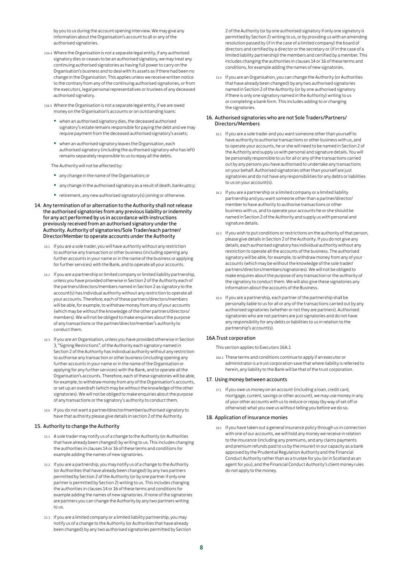by you to us during the account opening interview. We may give any information about the Organisation's account to all or any of the authorised signatories.

- 13A.4 Where the Organisation is not a separate legal entity, if any authorised signatory dies or ceases to be an authorised signatory, we may treat any continuing authorised signatories as having full power to carry on the Organisation's business and to deal with its assets as if there had been no change in the Organisation. This applies unless we receive written notice to the contrary from any of the continuing authorised signatories, or from the executors, legal personal representatives or trustees of any deceased authorised signatory.
- 13A.5 Where the Organisation is not a separate legal entity, if we are owed money on the Organisation's accounts or on outstanding loans:
	- when an authorised signatory dies, the deceased authorised signatory's estate remains responsible for paying the debt and we may require payment from the deceased authorised signatory's assets;
	- when an authorised signatory leaves the Organisation, each authorised signatory (including the authorised signatory who has left) remains separately responsible to us to repay all the debts.

The Authority will not be affected by:

- any change in the name of the Organisation; or
- any change in the authorised signatory as a result of death, bankruptcy;
- retirement, any new authorised signatory(s) joining or otherwise.
- 14. Any termination of or alternation to the Authority shall not release the authorised signatories from any previous liability or indemnity for any act performed by us in accordance with instructions previously received from an authorised signatory under the Authority. Authority of signatories/Sole Trader/each partner/ Director/Member to operate accounts under the Authority
	- 14.1 If you are a sole trader, you will have authority without any restriction to authorise any transaction or other business (including opening any further accounts in your name or in the name of the business or applying for further services) with the Bank, and to operate all your accounts.
	- 14.2 If you are a partnership or limited company or limited liability partnership, unless you have provided otherwise in Section 2 of the Authority each of the partners/directors/members named in Section 2 as signatory to the account(s) has individual authority without any restriction to operate all your accounts. Therefore, each of these partners/directors/members will be able, for example, to withdraw money from any of your accounts (which may be without the knowledge of the other partners/directors/ members). We will not be obliged to make enquiries about the purpose of any transactions or the partner/director/member's authority to conduct them.
	- 14.3 If you are an Organisation, unless you have provided otherwise in Section 3, "Signing Restrictions", of the Authority each signatory named in Section 2 of the Authority has individual authority without any restriction to authorise any transaction or other business (including opening any further accounts in your name or in the name of the Organisation or applying for any further services) with the Bank, and to operate all the Organisation's accounts. Therefore, each of these signatories will be able, for example, to withdraw money from any of the Organisation's accounts, or set up an overdraft (which may be without the knowledge of the other signatories). We will not be obliged to make enquiries about the purpose of any transactions or the signatory's authority to conduct them.
	- 14.4 If you do not want a partner/director/member/authorised signatory to have that authority please give details in section 2 of the Authority.

# 15. Authority to change the Authority

- 15.1 A sole trader may notify us of a change to the Authority (or Authorities that have already been changed) by writing to us. This includes changing the authorities in clauses 14 or 16 of these terms and conditions for example adding the names of new signatories.
- 15.2 If you are a partnership, you may notify us of a change to the Authority (or Authorities that have already been changed) by any two partners permitted by Section 2 of the Authority (or by one partner if only one partner is permitted by Section 2) writing to us. This includes changing the authorities in clauses 14 or 16 of these terms and conditions for example adding the names of new signatories. If none of the signatories are partners you can change the Authority by any two partners writing to us.
- 15.3 If you are a limited company or a limited liability partnership, you may notify us of a change to the Authority (or Authorities that have already been changed) by any two authorised signatories permitted by Section

2 of the Authority (or by one authorised signatory if only one signatory is permitted by Section 2) writing to us, or by providing us with an amending resolution passed by (if in the case of a limited company) the board of directors and certified by a director or the secretary or (if in the case of a limited liability partnership) the members and certified by a member. This includes changing the authorities in clauses 14 or 16 of these terms and conditions, for example adding the names of new signatories.

15.4 If you are an Organisation, you can change the Authority (or Authorities that have already been changed) by any two authorised signatories named in Section 2 of the Authority (or by one authorised signatory if there is only one signatory named in the Authority) writing to us or completing a bank form. This includes adding to or changing the signatories.

# 16. Authorised signatories who are not Sole Traders/Partners/ Directors/Members

- 16.1 If you are a sole trader and you want someone other than yourself to have authority to authorise transactions or other business with us, and to operate your accounts, he or she will need to be named in Section 2 of the Authority and supply us with personal and signature details. You will be personally responsible to us for all or any of the transactions carried out by any persons you have authorised to undertake any transactions on your behalf. Authorised signatories other than yourself are just signatories and do not have any responsibilities for any debts or liabilities to us on your account(s).
- 16.2 If you are a partnership or a limited company or a limited liability partnership and you want someone other than a partner/director/ member to have authority to authorise transactions or other business with us, and to operate your accounts he or she should be named in Section 2 of the Authority and supply us with personal and signature details.
- 16.3 If you wish to put conditions or restrictions on the authority of that person, please give details in Section 2 of the Authority. If you do not give any details, each authorised signatory has individual authority without any restriction to operate all the accounts of the business. The authorised signatory will be able, for example, to withdraw money from any of your accounts (which may be without the knowledge of the sole trader/ partners/directors/members/signatories). We will not be obliged to make enquires about the purpose of any transaction or the authority of the signatory to conduct them. We will also give these signatories any information about the accounts of the Business.
- 16.4 If you are a partnership, each partner of the partnership shall be personally liable to us for all or any of the transactions carried out by any authorised signatories (whether or not they are partners). Authorised signatories who are not partners are just signatories and do not have any responsibility for any debts or liabilities to us in relation to the partnership's account(s).

# 16A.Trust corporation

This section applies to Executors 16A.1

16A.1 These terms and conditions continue to apply if an executor or administrator is a trust corporation save that where liability is referred to herein, any liability to the Bank will be that of the trust corporation.

# 17. Using money between accounts

17.1 If you owe us money on an account (including a loan, credit card, mortgage, current, savings or other account), we may use money in any of your other accounts with us to reduce or repay (by way of set off or otherwise) what you owe us without telling you before we do so.

# 18. Application of insurance monies

18.1 If you have taken out a general insurance policy through us in connection with one of our accounts, we will hold any money we receive in relation to the insurance (including any premiums, and any claims payments and premium refunds paid to us by the insurer) in our capacity as a bank approved by the Prudential Regulation Authority and the Financial Conduct Authority rather than as a trustee for you (or in Scotland as an agent for you), and the Financial Conduct Authority's client money rules do not apply to the money.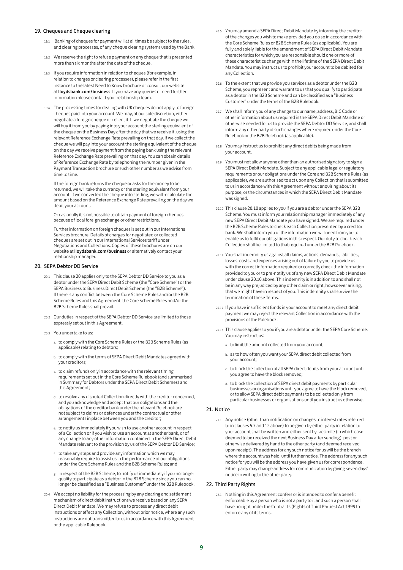### 19. Cheques and Cheque clearing

- 19.1 Banking of cheques for payment will at all times be subject to the rules, and clearing processes, of any cheque clearing systems used by the Bank.
- 19.2 We reserve the right to refuse payment on any cheque that is presented more than six months after the date of the cheque.
- 19.3 If you require information in relation to cheques (for example, in relation to charges or clearing processes), please refer in the first instance to the latest Need to Know brochure or consult our website at lloydsbank.com/business. If you have any queries or need further information please contact your relationship team.
- 19.4 The processing times for dealing with UK cheques do not apply to foreign cheques paid into your account. We may, at our sole discretion, either negotiate a foreign cheque or collect it. If we negotiate the cheque we will buy it from you by paying into your account the sterling equivalent of the cheque on the Business Day after the day that we receive it, using the relevant Reference Exchange Rate prevailing on that day. If we collect the cheque we will pay into your account the sterling equivalent of the cheque on the day we receive payment from the paying bank using the relevant Reference Exchange Rate prevailing on that day. You can obtain details of Reference Exchange Rate by telephoning the number given in the Payment Transaction brochure or such other number as we advise from time to time.

If the foreign bank returns the cheque or asks for the money to be returned, we will take the currency or the sterling equivalent from your account. If we converted the cheque into sterling, we will recalculate the amount based on the Reference Exchange Rate prevailing on the day we debit your account.

Occasionally it is not possible to obtain payment of foreign cheques because of local foreign exchange or other restriction

Further information on foreign cheques is set out in our International Services brochure. Details of charges for negotiated or collected cheques are set out in our International Services tariff under Negotiations and Collections. Copies of these brochures are on our website at **lloydsbank.com/business** or alternatively contact your relationship manager.

# 20. SEPA Debtor DD Service

- 20.1 This clause 20 applies only to the SEPA Debtor DD Service to you as a debtor under the SEPA Direct Debit Scheme (the "Core Scheme") or the SEPA Business to Business Direct Debit Scheme (the "B2B Scheme"). If there is any conflict between the Core Scheme Rules and/or the B2B Scheme Rules and this Agreement, the Core Scheme Rules and/or the B2B Scheme Rules shall prevail.
- 20.2 Our duties in respect of the SEPA Debtor DD Service are limited to those expressly set out in this Agreement.
- 20.3 You undertake to us:
	- a. to comply with the Core Scheme Rules or the B2B Scheme Rules (as applicable) relating to debtors;
	- b. to comply with the terms of SEPA Direct Debit Mandates agreed with your creditors;
	- c. to claim refunds only in accordance with the relevant timing requirements set out in the Core Scheme Rulebook (and summarised in Summary for Debtors under the SEPA Direct Debit Schemes) and this Agreement;
	- d. to resolve any disputed Collection directly with the creditor concerned, and you acknowledge and accept that our obligations and the obligations of the creditor bank under the relevant Rulebook are not subject to claims or defences under the contractual or other arrangements in place between you and the creditor;
	- e. to notify us immediately if you wish to use another account in respect of a Collection or if you wish to use an account at another bank, or of any change to any other information contained in the SEPA Direct Debit Mandate relevant to the provision by us of the SEPA Debtor DD Service;
	- f. to take any steps and provide any information which we may reasonably require to assist us in the performance of our obligations under the Core Scheme Rules and the B2B Scheme Rules; and
	- g. in respect of the B2B Scheme, to notify us immediately if you no longer qualify to participate as a debtor in the B2B Scheme since you can no longer be classified as a "Business Customer" under the B2B Rulebook.
- 20.4 We accept no liability for the processing by any clearing and settlement mechanism of direct debit instructions we receive based on any SEPA Direct Debit Mandate. We may refuse to process any direct debit instructions or effect any Collection, without prior notice, where any such instructions are not transmitted to us in accordance with this Agreement or the applicable Rulebook.
- 20.5 You may amend a SEPA Direct Debit Mandate by informing the creditor of the changes you wish to make provided you do so in accordance with the Core Scheme Rules or B2B Scheme Rules (as applicable). You are fully and solely liable for the amendment of SEPA Direct Debit Mandate characteristics for which you are responsible should one or more of these characteristics change within the lifetime of the SEPA Direct Debit Mandate. You may instruct us to prohibit your account to be debited for any Collection.
- 20.6 To the extent that we provide you services as a debtor under the B2B Scheme, you represent and warrant to us that you qualify to participate as a debtor in the B2B Scheme and can be classified as a "Business Customer" under the terms of the B2B Rulebook.
- 20.7 We shall inform you of any change to our name, address, BIC Code or other information about us required in the SEPA Direct Debit Mandate or otherwise needed for us to provide the SEPA Debtor DD Service, and shall inform any other party of such changes where required under the Core Rulebook or the B2B Rulebook (as applicable).
- 20.8 You may instruct us to prohibit any direct debits being made from your account.
- 20.9 You must not allow anyone other than an authorised signatory to sign a SEPA Direct Debit Mandate. Subject to any applicable legal or regulatory requirements or our obligations under the Core and B2B Scheme Rules (as applicable), we are authorised to act upon any Collection that is submitted to us in accordance with this Agreement without enquiring about its purpose, or the circumstances in which the SEPA Direct Debit Mandate was signed.
- 20.10 This clause 20.10 applies to you if you are a debtor under the SEPA B2B Scheme. You must inform your relationship manager immediately of any new SEPA Direct Debit Mandate you have signed. We are required under the B2B Scheme Rules to check each Collection presented by a creditor bank. We shall inform you of the information we will need from you to enable us to fulfil our obligations in this respect. Our duty to check each Collection shall be limited to that required under the B2B Rulebook.
- 20.11 You shall indemnify us against all claims, actions, demands, liabilities, losses, costs and expenses arising out of failure by you to provide us with the correct information required or correctly check the information provided to you or to pre-notify us of any new SEPA Direct Debit Mandate under clause 20.10 above. This indemnity is in addition to and shall not be in any way prejudiced by any other claim or right, howsoever arising, that we might have in respect of you. This indemnity shall survive the termination of these Terms.
- 20.12 If you have insufficient funds in your account to meet any direct debit payment we may reject the relevant Collection in accordance with the provisions of the Rulebook.
- 20.13 This clause applies to you if you are a debtor under the SEPA Core Scheme. You may instruct us:
	- a. to limit the amount collected from your account;
	- b. as to how often you want your SEPA direct debit collected from your account;
	- c. to block the collection of all SEPA direct debits from your account until you agree to have the block removed;
	- d. to block the collection of SEPA direct debit payments by particular businesses or organisations until you agree to have the block removed, or to allow SEPA direct debit payments to be collected only from particular businesses or organisations until you instruct us otherwise.

#### 21. Notice

21.1 Any notice (other than notification on changes to interest rates referred to in clauses 5.7 and 12 above) to be given by either party in relation to your account shall be written and either sent by facsimile (in which case deemed to be received the next Business Day after sending), post or otherwise delivered by hand to the other party (and deemed received upon receipt). The address for any such notice for us will be the branch where the account was held, until further notice. The address for any such notice for you will be the address you have given us for correspondence. Either party may change address for communication by giving seven days' notice in writing to the other party.

# 22. Third Party Rights

22.1 Nothing in this Agreement confers or is intended to confer a benefit enforceable by a person who is not a party to it and such a person shall have no right under the Contracts (Rights of Third Parties) Act 1999 to enforce any of its terms.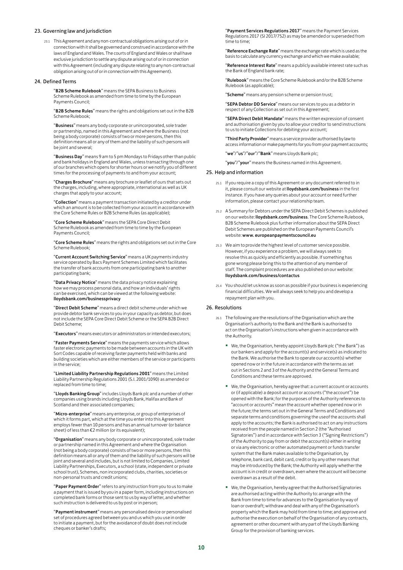## 23. Governing law and jurisdiction

23.1 This Agreement and any non-contractual obligations arising out of or in connection with it shall be governed and construed in accordance with the laws of England and Wales. The courts of England and Wales or shall have exclusive jurisdiction to settle any dispute arising out of or in connection with this Agreement (including any dispute relating to any non-contractual obligation arising out of or in connection with this Agreement).

#### 24. Defined Terms

"B2B Scheme Rulebook" means the SEPA Business to Business Scheme Rulebook as amended from time to time by the European Payments Council;

"B2B Scheme Rules" means the rights and obligations set out in the B2B Scheme Rulebook;

"Business" means any body corporate or unincorporated, sole trader or partnership, named in this Agreement and where the Business (not being a body corporate) consists of two or more persons, then this definition means all or any of them and the liability of such persons will be joint and several;

**"Business Day**" means 9 am to 5 pm Mondays to Fridays other than public<br>and bank holidays in England and Wales, unless transacting through one of our branches which opens for shorter hours or we notify you of different times for the processing of payments to and from your account;

"Charges Brochure" means any brochure or leaflet of ours that sets out the charges, including, where appropriate, international as well as UK charges that apply to your account;

"Collection" means a payment transaction initiated by a creditor under which an amount is to be collected from your account in accordance with the Core Scheme Rules or B2B Scheme Rules (as applicable);

"Core Scheme Rulebook" means the SEPA Core Direct Debit Scheme Rulebook as amended from time to time by the European Payments Council;

"Core Scheme Rules" means the rights and obligations set out in the Core Scheme Rulebook;

"Current Account Switching Service" means a UK payments industry service operated by Bacs Payment Schemes Limited which facilitates the transfer of bank accounts from one participating bank to another participating bank;

"Data Privacy Notice" means the data privacy notice explaining how we may process personal data, and how an individuals' rights can be exercised, which can be viewed at the following website: lloydsbank.com/businessprivacy

"Direct Debit Scheme" means a direct debit scheme under which we provide debtor bank services to you in your capacity as debtor, but does not include the SEPA Core Direct Debit Scheme or the SEPA B2B Direct Debit Scheme;

"Executors" means executors or administrators or intended executors;

**"Faster Payments Service"** means the payments service which allows<br>faster electronic payments to be made between accounts in the UK with Sort Codes capable of receiving faster payments held with banks and building societies which are either members of the service or participants in the service;

"Limited Liability Partnership Regulations 2001" means the Limited Liability Partnership Regulations 2001 (S.I. 2001/1090) as amended or replaced from time to time;

"Lloyds Banking Group" includes Lloyds Bank plc and a number of other companies using brands including Lloyds Bank, Halifax and Bank of Scotland and their associated companies;

"Micro-enterprise" means any enterprise, or group of enterprises of which it forms part, which at the time you enter into this Agreement employs fewer than 10 persons and has an annual turnover (or balance sheet) of less than €2 million (or its equivalent);

"Organisation" means any body corporate or unincorporated, sole trader or partnership named in this Agreement and where the Organisation (not being a body corporate) consists of two or more persons, then this definition means all or any of them and the liability of such persons will be joint and several and includes, but is not limited to Companies, Limited Liability Partnerships, Executors, a school (state, independent or private school trust), Schemes, non incorporated clubs, charities, societies or non-personal trusts and credit unions;

"Paper Payment Order" refers to any instruction from you to us to make a payment that is issued by you in a paper form, including instructions on completed bank forms or those sent to us by way of letter, and whether such instruction is delivered to us by post or in person;

"Payment instrument" means any personalised device or personalised set of procedures agreed between you and us which you use in order to initiate a payment, but for the avoidance of doubt does not include cheques or banker's drafts;

"Payment Services Regulations 2017" means the Payment Services Regulations 2017 (SI 2017/752) as may be amended or superseded from time to time;

"Reference Exchange Rate" means the exchange rate which is used as the basis to calculate any currency exchange and which we make available;

"Reference Interest Rate" means a publicly available interest rate such as the Bank of England bank rate;

"Rulebook" means the Core Scheme Rulebook and/or the B2B Scheme Rulebook (as applicable);

cheme" means any pension scheme or pension trust;

"SEPA Debtor DD Service" means our services to you as a debtor in respect of any Collection as set out in this Agreement;

"SEPA Direct Debit Mandate" means the written expression of consent and authorisation given by you to allow your creditor to send instructions to us to initiate Collections for debiting your account;

"Third Party Provider" means a service provider authorised by law to access information or make payments for you from your payment accounts;

"we"/"us"/"our"/"Bank" means Lloyds Bank plc;

"you"/"your" means the Business named in this Agreement.

# 25. Help and information

- 25.1 If you require a copy of this Agreement or any document referred to in it, please consult our website at lloydsbank.com/business in the first instance. If you have any queries about your account or need further information, please contact your relationship team.
- 25.2 A Summary for Debtors under the SEPA Direct Debit Schemes is published on our website: lloydsbank.com/business. The Core Scheme Rulebook, B2B Scheme Rulebook plus further information about the SEPA Direct Debit Schemes are published on the European Payments Council's website: www. europeanpaymentscouncil.eu
- 25.3 We aim to provide the highest level of customer service possible. However, if you experience a problem, we will always seek to resolve this as quickly and efficiently as possible. If something has gone wrong please bring this to the attention of any member of staff. The complaint procedures are also published on our website: lloydsbank.com/business/contactus
- 25.4 You should let us know as soon as possible if your business is experiencing financial difficulties. We will always seek to help you and develop a repayment plan with you.

# 26. Resolutions

- 26.1 The following are the resolutions of the Organisation which are the Organisation's authority to the Bank and the Bank is authorised to act on the Organisation's instructions when given in accordance with the Authority.
	- We, the Organisation, hereby appoint Lloyds Bank plc ("the Bank") as our bankers and apply for the account(s) and service(s) as indicated to the Bank. We authorise the Bank to operate our account(s) whether opened now or in the future in accordance with the terms as set out in Sections 2 and 3 of the Authority and the General Terms and Conditions and these terms are approved.
	- We, the Organisation, hereby agree that: a current account or accounts or (if applicable) a deposit account or accounts ("the account") be opened with the Bank; for the purposes of the Authority references to "account or accounts" mean the account whether opened now or in the future; the terms set out in the General Terms and Conditions and separate terms and conditions governing the useof the accounts shall apply to the accounts; the Bank is authorised to act on any instructions received from the people named in Section 2 (the "Authorised Signatories") and in accordance with Section 3 ("Signing Restrictions") of the Authority to pay from or debit the account(s) either in writing or via any electronic or other automated payment or funds transfer system that the Bank makes available to the Organisation, by telephone, bank card, debit card, credit or by any other means that may be introduced by the Bank; the Authority will apply whether the account is in credit or overdrawn, even where the account will become overdrawn as a result of the debit.
	- We, the Organisation, hereby agree that the Authorised Signatories are authorised acting within the Authority to: arrange with the Bank from time to time for advances to the Organisation by way of loan or overdraft; withdraw and deal with any of the Organisation's property which the Bank may hold from time to time; and approve and authorise the execution on behalf of the Organisation of any contracts, agreement or other document with any part of the Lloyds Banking Group for the provision of banking services.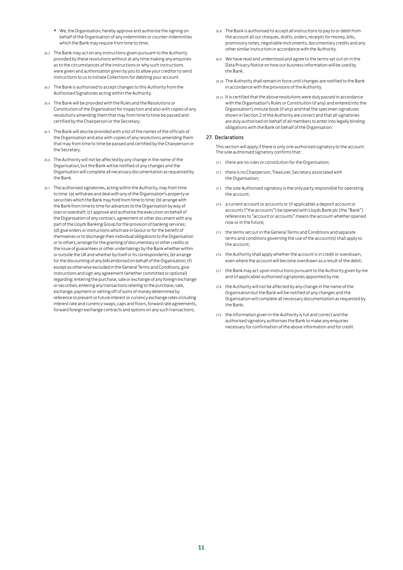- We, the Organisation, hereby approve and authorise the signing on behalf of the Organisation of any indemnities or counter-indemnities which the Bank may require from time to time;
- 26.2 The Bank may act on any instructions given pursuant to the Authority provided by these resolutions without at any time making any enquiries as to the circumstances of the instructions or why such instructions were given and authorisation given by you to allow your creditor to send instructions to us to initiate Collections for debiting your account.
- 26.3 The Bank is authorised to accept changes to this Authority from the Authorised Signatories acting within the Authority.
- 26.4 The Bank will be provided with the Rules and the Resolutions or Constitution of the Organisation for inspection and also with copies of any resolutions amending them that may from time to time be passed and certified by the Chairperson or the Secretary.
- 26.5 The Bank will also be provided with a list of the names of the officials of the Organisation and also with copies of any resolutions amending them that may from time to time be passed and certified by the Chairperson or the Secretary.
- 26.6 The Authority will not be affected by any change in the name of the Organisation, but the Bank will be notified of any changes and the Organisation will complete all necessary documentation as requested by the Bank.
- 26.7 The authorised signatories, acting within the Authority, may from time to time: (a) withdraw and deal with any of the Organisation's property or securities which the Bank may hold from time to time; (b) arrange with the Bank from time to time for advances to the Organisation by way of loan or overdraft; (c) approve and authorise the execution on behalf of the Organisation of any contract, agreement or other document with any part of the Lloyds Banking Group for the provision of banking services; (d) give orders or instructions which are in favour or for the benefit of themselves or to discharge their individual obligations to the Organisation or to others; arrange for the granting of documentary or other credits or the issue of guarantees or other undertakings by the Bank whether within or outside the UK and whether by itself or its correspondents; (e) arrange for the discounting of any bills endorsed on behalf of the Organisation; (f) except as otherwise excluded in the General Terms and Conditions, give instructions and sign any agreement (whether committed or optional) regarding: entering the purchase, sale or exchange of any foreign exchange or securities; entering any transactions relating to the purchase, sale, exchange, payment or setting off of sums of money determined by reference to present or future interest or currency exchange rates including interest rate and currency swaps, caps and floors, forward rate agreements, forward foreign exchange contracts and options on any such transactions;
- 26.8 The Bank is authorised to accept all instructions to pay to or debit from the account all our cheques, drafts, orders, receipts for money, bills, promissory notes, negotiable instruments, documentary credits and any other similar instruction in accordance with the Authority.
- 26.9 We have read and understood and agree to the terms set out on in the Data Privacy Notice on how our business information will be used by the Bank.
- 26.10 The Authority shall remain in force until changes are notified to the Bank in accordance with the provisions of the Authority.
- 26.11 It is certified that the above resolutions were duly passed in accordance with the Organisation's Rules or Constitution (if any) and entered into the Organisation's minute book (if any) and that the specimen signatures shown in Section 2 of the Authority are correct and that all signatories are duly authorised on behalf of all members to enter into legally binding obligations with the Bank on behalf of the Organisation.

# 27. Declarations

This section will apply if there is only one authorised signatory to the account. The sole authorised signatory confirms that:

- 27.1 there are no rules or constitution for the Organisation;
- 27.2 there is no Chairperson, Treasurer, Secretary associated with the Organisation;
- 27.3 the sole Authorised signatory is the only party responsible for operating the account;
- 27.4 a current account or accounts or (if applicable) a deposit account or accounts ("the accounts") be opened with Lloyds Bank plc (the "Bank") references to "account or accounts" means the account whether opened now or in the future;
- 27.5 the terms set out in the General Terms and Conditions and separate terms and conditions governing the use of the account(s) shall apply to the account;
- 27.6 the Authority shall apply whether the account is in credit or overdrawn, even where the account will become overdrawn as a result of the debit;
- 27.7 the Bank may act upon instructions pursuant to the Authority given by me and (if applicable) authorised signatories appointed by me;
- 27.8 the Authority will not be affected by any change in the name of the Organisation but the Bank will be notified of any changes and the Organisation will complete all necessary documentation as requested by the Bank;
- 27.9 the information given in the Authority is full and correct and the authorised signatory authorises the Bank to make any enquiries necessary for confirmation of the above information and for credit